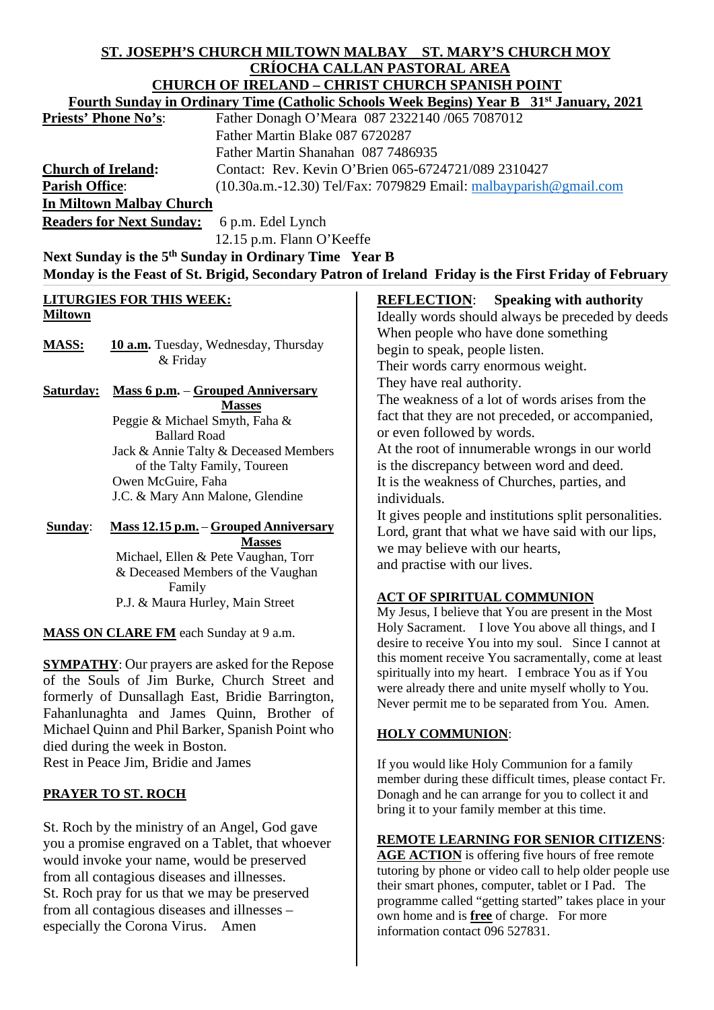# **ST. JOSEPH'S CHURCH MILTOWN MALBAY ST. MARY'S CHURCH MOY CRÍOCHA CALLAN PASTORAL AREA CHURCH OF IRELAND – CHRIST CHURCH SPANISH POINT**

| <b>Fourth Sunday in Ordinary Time (Catholic Schools Week Begins) Year B</b> 31 <sup>st</sup> January, 2021                                                                                                                                                                                                                                |                                                                     |
|-------------------------------------------------------------------------------------------------------------------------------------------------------------------------------------------------------------------------------------------------------------------------------------------------------------------------------------------|---------------------------------------------------------------------|
| <b>Priests' Phone No's</b> :                                                                                                                                                                                                                                                                                                              | Father Donagh O'Meara 087 2322140 /065 7087012                      |
|                                                                                                                                                                                                                                                                                                                                           | Father Martin Blake 087 6720287                                     |
|                                                                                                                                                                                                                                                                                                                                           | Father Martin Shanahan 087 7486935                                  |
| <b>Church of Ireland:</b>                                                                                                                                                                                                                                                                                                                 | Contact: Rev. Kevin O'Brien 065-6724721/089 2310427                 |
| <b>Parish Office:</b>                                                                                                                                                                                                                                                                                                                     | $(10.30a.m.-12.30)$ Tel/Fax: 7079829 Email: malbayparish @gmail.com |
| In Miltown Malbay Church                                                                                                                                                                                                                                                                                                                  |                                                                     |
| $\mathbf{n}$ , $\mathbf{n}$ , $\mathbf{n}$ , $\mathbf{n}$ , $\mathbf{n}$ , $\mathbf{n}$ , $\mathbf{n}$ , $\mathbf{n}$ , $\mathbf{n}$ , $\mathbf{n}$ , $\mathbf{n}$ , $\mathbf{n}$ , $\mathbf{n}$ , $\mathbf{n}$ , $\mathbf{n}$ , $\mathbf{n}$ , $\mathbf{n}$ , $\mathbf{n}$ , $\mathbf{n}$ , $\mathbf{n}$ , $\mathbf{n}$ , $\mathbf{n}$ , |                                                                     |

**Readers for Next Sunday:** 6 p.m. Edel Lynch

12.15 p.m. Flann O'Keeffe

**Next Sunday is the 5th Sunday in Ordinary Time Year B** Monday is the Feast of St. Brigid, Secondary Patron of Ireland Friday is the First Friday of February

# **LITURGIES FOR THIS WEEK: Miltown**

MASS: **10 a.m.** Tuesday, Wednesday, Thursday & Friday

**Saturday: Mass 6 p.m.** – **Grouped Anniversary Masses** Peggie & Michael Smyth, Faha & Ballard Road Jack & Annie Talty & Deceased Members of the Talty Family, Toureen Owen McGuire, Faha J.C. & Mary Ann Malone, Glendine

**Sunday**: **Mass 12.15 p.m.** – **Grouped Anniversary Masses** Michael, Ellen & Pete Vaughan, Torr & Deceased Members of the Vaughan Family P.J. & Maura Hurley, Main Street

**MASS ON CLARE FM** each Sunday at 9 a.m.

**SYMPATHY**: Our prayers are asked for the Repose of the Souls of Jim Burke, Church Street and formerly of Dunsallagh East, Bridie Barrington, Fahanlunaghta and James Quinn, Brother of Michael Quinn and Phil Barker, Spanish Point who died during the week in Boston. Rest in Peace Jim, Bridie and James

# **PRAYER TO ST. ROCH**

St. Roch by the ministry of an Angel, God gave you a promise engraved on a Tablet, that whoever would invoke your name, would be preserved from all contagious diseases and illnesses. St. Roch pray for us that we may be preserved from all contagious diseases and illnesses – especially the Corona Virus. Amen

**REFLECTION**: **Speaking with authority** Ideally words should always be preceded by deeds When people who have done something begin to speak, people listen. Their words carry enormous weight. They have real authority. The weakness of a lot of words arises from the fact that they are not preceded, or accompanied, or even followed by words.

At the root of innumerable wrongs in our world is the discrepancy between word and deed. It is the weakness of Churches, parties, and individuals.

It gives people and institutions split personalities. Lord, grant that what we have said with our lips, we may believe with our hearts, and practise with our lives.

# **ACT OF SPIRITUAL COMMUNION**

My Jesus, I believe that You are present in the Most Holy Sacrament. I love You above all things, and I desire to receive You into my soul. Since I cannot at this moment receive You sacramentally, come at least spiritually into my heart. I embrace You as if You were already there and unite myself wholly to You. Never permit me to be separated from You. Amen.

# **HOLY COMMUNION**:

If you would like Holy Communion for a family member during these difficult times, please contact Fr. Donagh and he can arrange for you to collect it and bring it to your family member at this time.

# **REMOTE LEARNING FOR SENIOR CITIZENS**:

**AGE ACTION** is offering five hours of free remote tutoring by phone or video call to help older people use their smart phones, computer, tablet or I Pad. The programme called "getting started" takes place in your own home and is **free** of charge. For more information contact 096 527831.